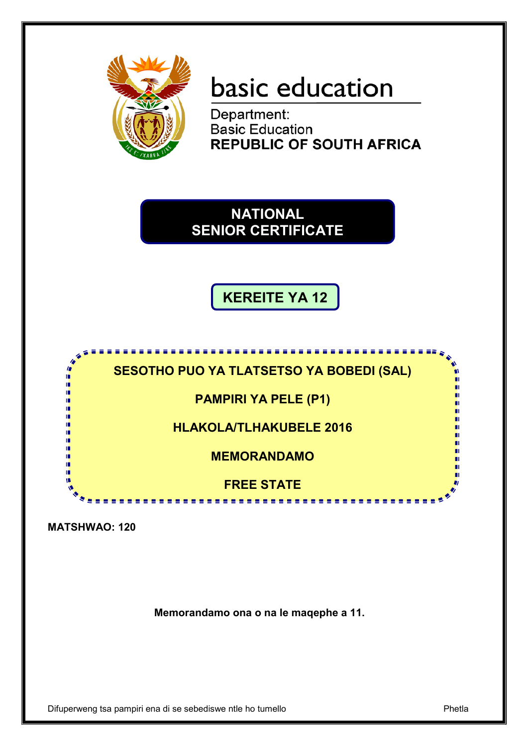

# basic education

Department: **Basic Education REPUBLIC OF SOUTH AFRICA** 

# **NATIONAL SENIOR CERTIFICATE**

**KEREITE YA 12**



**MATSHWAO: 120**

**Memorandamo ona o na le maqephe a 11.**

Difuperweng tsa pampiri ena di se sebediswe ntle ho tumello Phetla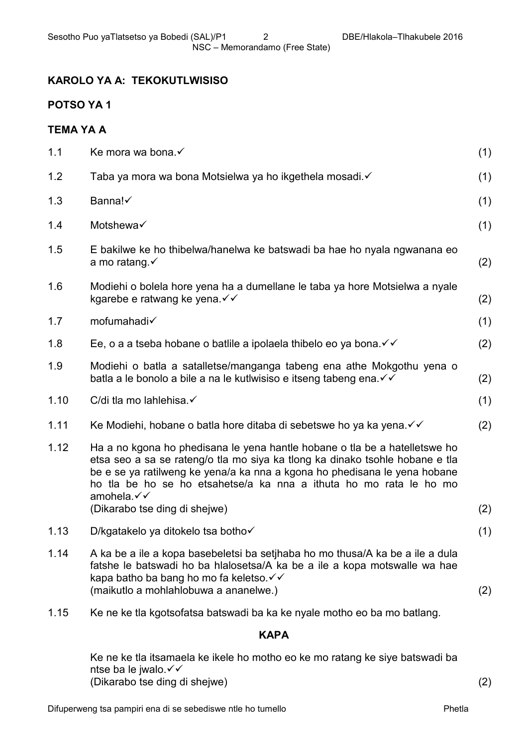# **KAROLO YA A: TEKOKUTLWISISO**

# **POTSO YA 1**

## **TEMA YA A**

| 1.1  | Ke mora wa bona.√                                                                                                                                                                                                                                                                                                           | (1) |
|------|-----------------------------------------------------------------------------------------------------------------------------------------------------------------------------------------------------------------------------------------------------------------------------------------------------------------------------|-----|
| 1.2  | Taba ya mora wa bona Motsielwa ya ho ikgethela mosadi.√                                                                                                                                                                                                                                                                     | (1) |
| 1.3  | Banna!                                                                                                                                                                                                                                                                                                                      | (1) |
| 1.4  | Motshewa√                                                                                                                                                                                                                                                                                                                   | (1) |
| 1.5  | E bakilwe ke ho thibelwa/hanelwa ke batswadi ba hae ho nyala ngwanana eo<br>a mo ratang. $\checkmark$                                                                                                                                                                                                                       | (2) |
| 1.6  | Modiehi o bolela hore yena ha a dumellane le taba ya hore Motsielwa a nyale<br>kgarebe e ratwang ke yena. V v                                                                                                                                                                                                               | (2) |
| 1.7  | mofumahadi√                                                                                                                                                                                                                                                                                                                 | (1) |
| 1.8  | Ee, o a a tseba hobane o batlile a ipolaela thibelo eo ya bona. $\checkmark\checkmark$                                                                                                                                                                                                                                      | (2) |
| 1.9  | Modiehi o batla a satalletse/manganga tabeng ena athe Mokgothu yena o<br>batla a le bonolo a bile a na le kutlwisiso e itseng tabeng ena. V v                                                                                                                                                                               | (2) |
| 1.10 | C/di tla mo lahlehisa. ✓                                                                                                                                                                                                                                                                                                    | (1) |
| 1.11 | Ke Modiehi, hobane o batla hore ditaba di sebetswe ho ya ka yena. $\checkmark\checkmark$                                                                                                                                                                                                                                    | (2) |
| 1.12 | Ha a no kgona ho phedisana le yena hantle hobane o tla be a hatelletswe ho<br>etsa seo a sa se rateng/o tla mo siya ka tlong ka dinako tsohle hobane e tla<br>be e se ya ratilweng ke yena/a ka nna a kgona ho phedisana le yena hobane<br>ho tla be ho se ho etsahetse/a ka nna a ithuta ho mo rata le ho mo<br>amohela.√√ |     |
|      | (Dikarabo tse ding di shejwe)                                                                                                                                                                                                                                                                                               | (2) |
| 1.13 | D/kgatakelo ya ditokelo tsa botho√                                                                                                                                                                                                                                                                                          | (1) |
| 1.14 | A ka be a ile a kopa basebeletsi ba setihaba ho mo thusa/A ka be a ile a dula<br>fatshe le batswadi ho ba hialosetsa/A ka be a ile a kopa motswalle wa hae<br>kapa batho ba bang ho mo fa keletso. V V<br>(maikutlo a mohlahlobuwa a ananelwe.)                                                                             | (2) |
| 1.15 | Ke ne ke tla kgotsofatsa batswadi ba ka ke nyale motho eo ba mo batlang.                                                                                                                                                                                                                                                    |     |

# **KAPA**

Ke ne ke tla itsamaela ke ikele ho motho eo ke mo ratang ke siye batswadi ba ntse ba le jwalo. (Dikarabo tse ding di shejwe) (2)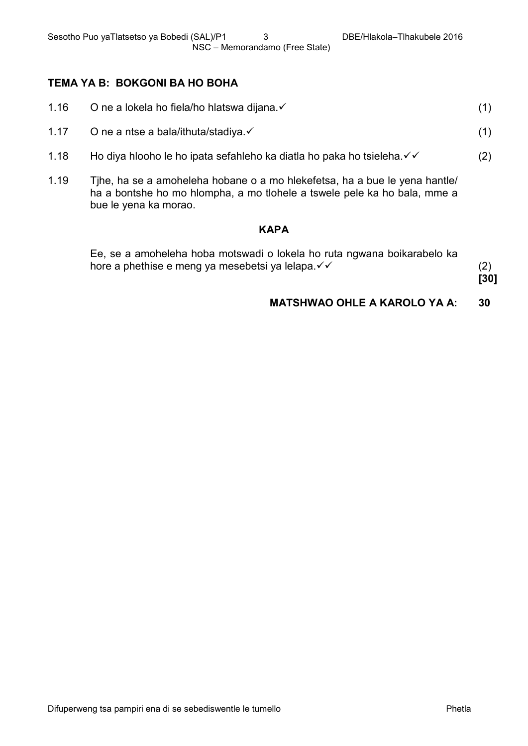# **TEMA YA B: BOKGONI BA HO BOHA**

| 1.16 | O ne a lokela ho fiela/ho hlatswa dijana. ✓                                |     |
|------|----------------------------------------------------------------------------|-----|
| 1.17 | O ne a ntse a bala/ithuta/stadiya. $\checkmark$                            |     |
| 1.18 | Ho diya hlooho le ho ipata sefahleho ka diatla ho paka ho tsieleha. V      | (2) |
| 1.19 | Tihe, ha se a amoheleha hobane o a mo hiekefetsa, ha a bue le yena hantle/ |     |

ha a bontshe ho mo hlompha, a mo tlohele a tswele pele ka ho bala, mme a bue le yena ka morao.

#### **KAPA**

| Ee, se a amoheleha hoba motswadi o lokela ho ruta ngwana boikarabelo ka |  |
|-------------------------------------------------------------------------|--|
| hore a phethise e meng ya mesebetsi ya lelapa. ✓ ✓                      |  |

**[30]**

# **MATSHWAO OHLE A KAROLO YA A: 30**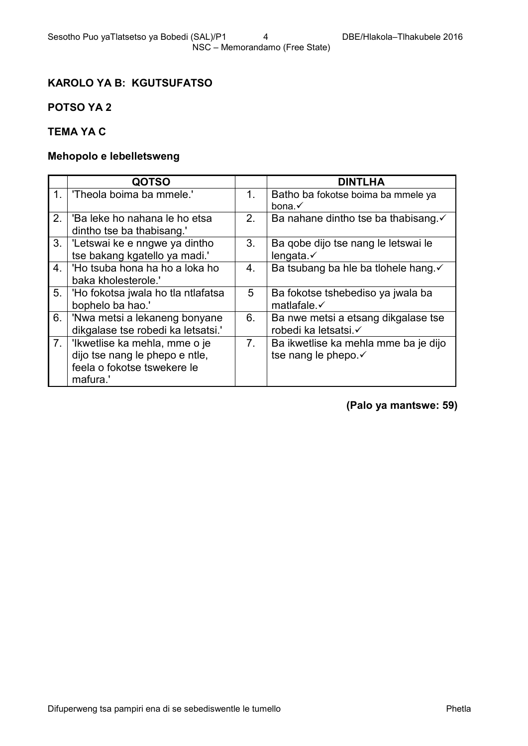# **KAROLO YA B: KGUTSUFATSO**

# **POTSO YA 2**

# **TEMA YA C**

# **Mehopolo e lebelletsweng**

|    | <b>QOTSO</b>                                                                                               |                | <b>DINTLHA</b>                                               |
|----|------------------------------------------------------------------------------------------------------------|----------------|--------------------------------------------------------------|
| 1. | 'Theola boima ba mmele.'                                                                                   | 1 <sub>1</sub> | Batho ba fokotse boima ba mmele ya<br>bona. $\checkmark$     |
| 2. | 'Ba leke ho nahana le ho etsa<br>dintho tse ba thabisang."                                                 | 2.             | Ba nahane dintho tse ba thabisang. ✓                         |
| 3. | 'Letswai ke e nngwe ya dintho<br>tse bakang kgatello ya madi.'                                             | 3.             | Ba gobe dijo tse nang le letswai le<br>lengata. $\checkmark$ |
| 4. | 'Ho tsuba hona ha ho a loka ho<br>baka kholesterole.'                                                      | 4.             | Ba tsubang ba hie ba tiohele hang. v                         |
| 5. | 'Ho fokotsa jwala ho tla ntlafatsa<br>bophelo ba hao.'                                                     | 5              | Ba fokotse tshebediso ya jwala ba<br>matlafale. $\checkmark$ |
| 6. | 'Nwa metsi a lekaneng bonyane<br>dikgalase tse robedi ka letsatsi.'                                        | 6.             | Ba nwe metsi a etsang dikgalase tse<br>robedi ka letsatsi.√  |
| 7. | 'Ikwetlise ka mehla, mme o je<br>dijo tse nang le phepo e ntle,<br>feela o fokotse tswekere le<br>mafura.' | 7 <sub>1</sub> | Ba ikwetlise ka mehla mme ba je dijo<br>tse nang le phepo.√  |

**(Palo ya mantswe: 59)**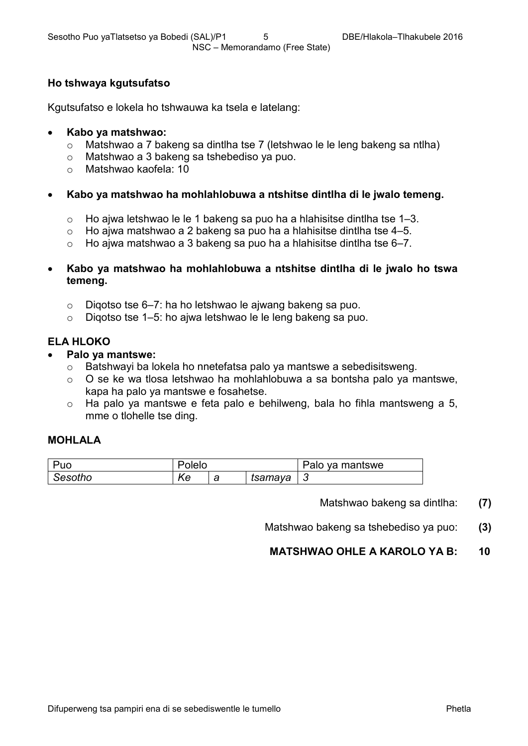#### **Ho tshwaya kgutsufatso**

Kgutsufatso e lokela ho tshwauwa ka tsela e latelang:

#### • **Kabo ya matshwao:**

- o Matshwao a 7 bakeng sa dintlha tse 7 (letshwao le le leng bakeng sa ntlha)
- o Matshwao a 3 bakeng sa tshebediso ya puo.<br>○ Matshwao kaofela: 10
- Matshwao kaofela: 10
- **Kabo ya matshwao ha mohlahlobuwa a ntshitse dintlha di le jwalo temeng.**
	- o Ho ajwa letshwao le le 1 bakeng sa puo ha a hlahisitse dintlha tse 1–3.<br>○ Ho aiwa matshwao a 2 bakeng sa puo ha a hlahisitse dintlha tse 4–5.
	- o Ho ajwa matshwao a 2 bakeng sa puo ha a hlahisitse dintlha tse 4–5.
	- $\circ$  Ho ajwa matshwao a 3 bakeng sa puo ha a hlahisitse dintlha tse 6–7.
- **Kabo ya matshwao ha mohlahlobuwa a ntshitse dintlha di le jwalo ho tswa temeng.**
	- o Diqotso tse 6–7: ha ho letshwao le ajwang bakeng sa puo.
	- o Diqotso tse 1–5: ho ajwa letshwao le le leng bakeng sa puo.

#### **ELA HLOKO**

- **Palo ya mantswe:**
	- o Batshwayi ba lokela ho nnetefatsa palo ya mantswe a sebedisitsweng.
	- o O se ke wa tlosa letshwao ha mohlahlobuwa a sa bontsha palo ya mantswe, kapa ha palo ya mantswe e fosahetse.
	- o Ha palo ya mantswe e feta palo e behilweng, bala ho fihla mantsweng a 5, mme o tlohelle tse ding.

#### **MOHLALA**

| Puo     | Polelo |        |         | Palo ya mantswe |
|---------|--------|--------|---------|-----------------|
| Sesotho | Ke     | -<br>a | tsamaya | u               |

Matshwao bakeng sa dintlha: **(7)**

Matshwao bakeng sa tshebediso ya puo: **(3)**

# **MATSHWAO OHLE A KAROLO YA B: 10**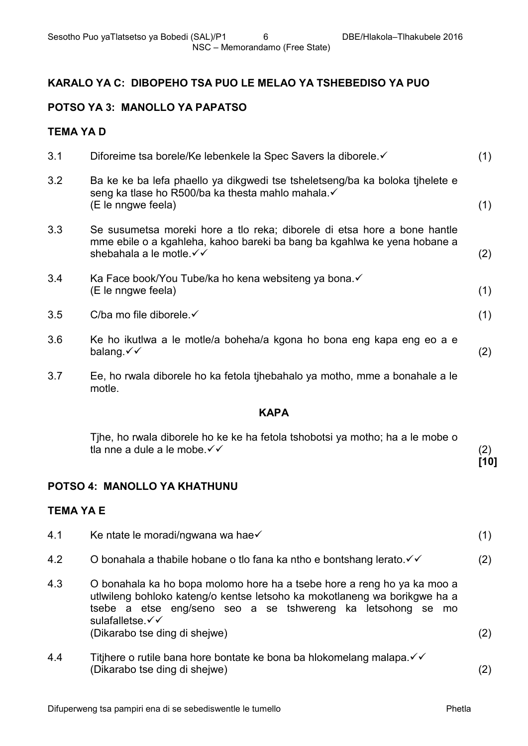# **KARALO YA C: DIBOPEHO TSA PUO LE MELAO YA TSHEBEDISO YA PUO**

# **POTSO YA 3: MANOLLO YA PAPATSO**

### **TEMA YA D**

| 3.1 | Diforeime tsa borele/Ke lebenkele la Spec Savers la diborele. ✓                                                                                                                   | (1) |
|-----|-----------------------------------------------------------------------------------------------------------------------------------------------------------------------------------|-----|
| 3.2 | Ba ke ke ba lefa phaello ya dikgwedi tse tsheletseng/ba ka boloka tihelete e<br>seng ka tlase ho R500/ba ka thesta mahlo mahala. V<br>(E le nngwe feela)                          | (1) |
| 3.3 | Se susumetsa moreki hore a tlo reka; diborele di etsa hore a bone hantle<br>mme ebile o a kgahleha, kahoo bareki ba bang ba kgahlwa ke yena hobane a<br>shebahala a le motle. √ √ | (2) |
| 3.4 | Ka Face book/You Tube/ka ho kena websiteng ya bona.<br>(E le nngwe feela)                                                                                                         | (1) |
| 3.5 | C/ba mo file diborele. $\checkmark$                                                                                                                                               | (1) |
| 3.6 | Ke ho ikutlwa a le motle/a boheha/a kgona ho bona eng kapa eng eo a e<br>balang. $\checkmark\checkmark$                                                                           | (2) |
| 3.7 | Ee, ho rwala diborele ho ka fetola tihebahalo ya motho, mme a bonahale a le<br>motle.                                                                                             |     |
|     |                                                                                                                                                                                   |     |

# **KAPA**

| Tihe, ho rwala diborele ho ke ke ha fetola tshobotsi ya motho; ha a le mobe o |      |
|-------------------------------------------------------------------------------|------|
| tla nne a dule a le mobe. $\checkmark\checkmark$                              |      |
|                                                                               | [10] |

#### **POTSO 4: MANOLLO YA KHATHUNU**

## **TEMA YA E**

4.2

| 4.1 | Ke ntate le moradi/ngwana wa hae√ |  |  |
|-----|-----------------------------------|--|--|
|     |                                   |  |  |

- 4.3 O bonahala ka ho bopa molomo hore ha a tsebe hore a reng ho ya ka moo a
- utlwileng bohloko kateng/o kentse letsoho ka mokotlaneng wa borikgwe ha a tsebe a etse eng/seno seo a se tshwereng ka letsohong se mo sulafalletse.√√ (Dikarabo tse ding di shejwe) (2)

O bonahala a thabile hobane o tlo fana ka ntho e bontshang lerato. $\checkmark\checkmark$ 

(2)

4.4 Titjhere o rutile bana hore bontate ke bona ba hlokomelang malapa. $\checkmark\checkmark$ (Dikarabo tse ding di shejwe) (2)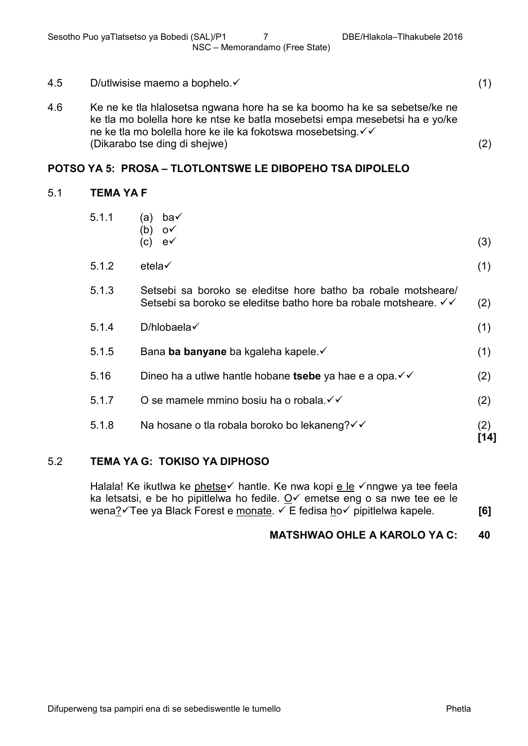| 4.5 | D/utlwisise maemo a bophelo. ✓                                                                                                                                                                                                                             |     |
|-----|------------------------------------------------------------------------------------------------------------------------------------------------------------------------------------------------------------------------------------------------------------|-----|
| 4.6 | Ke ne ke tla hialosetsa ngwana hore ha se ka boomo ha ke sa sebetse/ke ne<br>ke tla mo bolella hore ke ntse ke batla mosebetsi empa mesebetsi ha e yo/ke<br>ne ke tla mo bolella hore ke ile ka fokotswa mosebetsing. V V<br>(Dikarabo tse ding di shejwe) | (2) |
|     |                                                                                                                                                                                                                                                            |     |

#### **POTSO YA 5: PROSA – TLOTLONTSWE LE DIBOPEHO TSA DIPOLELO**

#### 5.1 **TEMA YA F**

|       | Na hosane o tla robala boroko bo lekaneng? √ √                                                                                   | (2)<br>[14] |
|-------|----------------------------------------------------------------------------------------------------------------------------------|-------------|
| 5.1.8 |                                                                                                                                  | (2)         |
| 5.1.7 | O se mamele mmino bosiu ha o robala. V V                                                                                         |             |
| 5.16  | Dineo ha a utiwe hantle hobane tsebe ya hae e a opa. V                                                                           | (2)         |
| 5.1.5 | Bana ba banyane ba kgaleha kapele. ✓                                                                                             | (1)         |
| 5.1.4 | D/hlobaela $\checkmark$                                                                                                          | (1)         |
| 5.1.3 | Setsebi sa boroko se eleditse hore batho ba robale motsheare/<br>Setsebi sa boroko se eleditse batho hore ba robale motsheare. V | (2)         |
| 5.1.2 | etela√                                                                                                                           | (1)         |
| 5.1.1 | ba√<br>(a)<br>(b)<br>$\mathsf{O}^{\checkmark}$<br>(c)<br>$e\checkmark$                                                           | (3)         |

Halala! Ke ikutlwa ke phetse hantle. Ke nwa kopi e le  $\checkmark$ nngwe ya tee feela ka letsatsi, e be ho pipitlelwa ho fedile.  $Q\checkmark$  emetse eng o sa nwe tee ee le wena? Tee ya Black Forest e monate. 
<del>V</del> E fedisa ho pipitlelwa kapele. **[6] [6]** 

#### **MATSHWAO OHLE A KAROLO YA C: 40**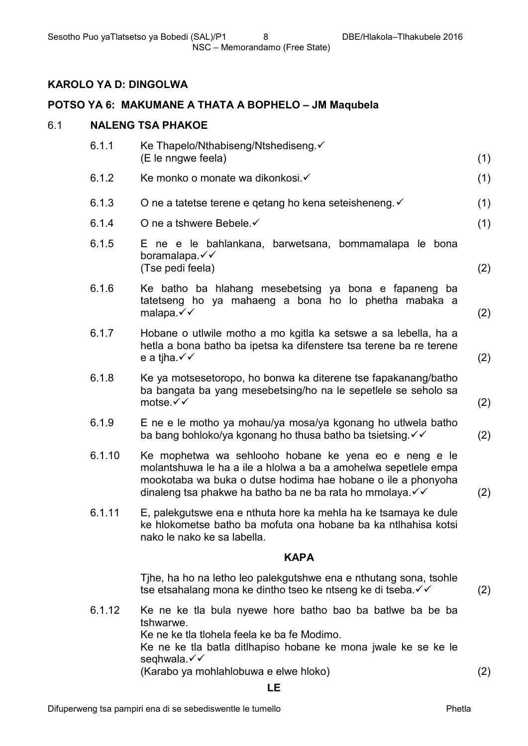# **KAROLO YA D: DINGOLWA**

# **POTSO YA 6: MAKUMANE A THATA A BOPHELO – JM Maqubela**

### 6.1 **NALENG TSA PHAKOE**

| 6.1.1  | Ke Thapelo/Nthabiseng/Ntshediseng.√<br>(E le nngwe feela)                                                                                                                                                                                            | (1) |
|--------|------------------------------------------------------------------------------------------------------------------------------------------------------------------------------------------------------------------------------------------------------|-----|
| 6.1.2  | Ke monko o monate wa dikonkosi. ✓                                                                                                                                                                                                                    | (1) |
| 6.1.3  | O ne a tatetse terene e getang ho kena seteisheneng. ✓                                                                                                                                                                                               | (1) |
| 6.1.4  | O ne a tshwere Bebele. ✓                                                                                                                                                                                                                             | (1) |
| 6.1.5  | E ne e le bahlankana, barwetsana, bommamalapa le bona<br>boramalapa.√√<br>(Tse pedi feela)                                                                                                                                                           | (2) |
| 6.1.6  | Ke batho ba hlahang mesebetsing ya bona e fapaneng ba<br>tatetseng ho ya mahaeng a bona ho lo phetha mabaka a<br>malapa. $\checkmark\checkmark$                                                                                                      | (2) |
| 6.1.7  | Hobane o utiwile motho a mo kgitla ka setswe a sa lebella, ha a<br>hetla a bona batho ba ipetsa ka difenstere tsa terene ba re terene<br>e a tjha. $\checkmark\checkmark$                                                                            | (2) |
| 6.1.8  | Ke ya motsesetoropo, ho bonwa ka diterene tse fapakanang/batho<br>ba bangata ba yang mesebetsing/ho na le sepetlele se seholo sa<br>motse.√√                                                                                                         | (2) |
| 6.1.9  | E ne e le motho ya mohau/ya mosa/ya kgonang ho utiwela batho<br>ba bang bohloko/ya kgonang ho thusa batho ba tsietsing. V V                                                                                                                          | (2) |
| 6.1.10 | Ke mophetwa wa sehlooho hobane ke yena eo e neng e le<br>molantshuwa le ha a ile a hiolwa a ba a amohelwa sepetlele empa<br>mookotaba wa buka o dutse hodima hae hobane o ile a phonyoha<br>dinaleng tsa phakwe ha batho ba ne ba rata ho mmolaya. V | (2) |
| 6.1.11 | E, palekgutswe ena e nthuta hore ka mehla ha ke tsamaya ke dule<br>ke hlokometse batho ba mofuta ona hobane ba ka ntihahisa kotsi<br>nako le nako ke sa labella.                                                                                     |     |
|        | <b>KAPA</b>                                                                                                                                                                                                                                          |     |
|        | Tihe, ha ho na letho leo palekgutshwe ena e nthutang sona, tsohle<br>tse etsahalang mona ke dintho tseo ke ntseng ke di tseba. V V                                                                                                                   | (2) |
| 6.1.12 | Ke ne ke tla bula nyewe hore batho bao ba batiwe ba be ba<br>tshwarwe.<br>Ke ne ke tla tlohela feela ke ba fe Modimo.<br>Ke ne ke tla batla ditlhapiso hobane ke mona jwale ke se ke le<br>seqhwala.√√                                               |     |

(Karabo ya mohlahlobuwa e elwe hloko) (2)

#### **LE**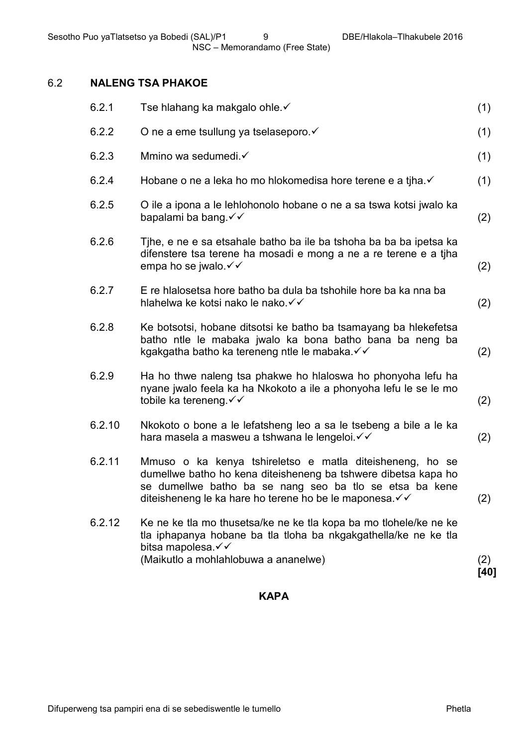# 6.2 **NALENG TSA PHAKOE**

| 6.2.1  | Tse hlahang ka makgalo ohle.√                                                                                                                                                                                                                     | (1)  |
|--------|---------------------------------------------------------------------------------------------------------------------------------------------------------------------------------------------------------------------------------------------------|------|
| 6.2.2  | O ne a eme tsullung ya tselaseporo. v                                                                                                                                                                                                             | (1)  |
| 6.2.3  | Mmino wa sedumedi.√                                                                                                                                                                                                                               | (1)  |
| 6.2.4  | Hobane o ne a leka ho mo hlokomedisa hore terene e a tiha. ✓                                                                                                                                                                                      | (1)  |
| 6.2.5  | O ile a ipona a le lehlohonolo hobane o ne a sa tswa kotsi jwalo ka<br>bapalami ba bang. √ ✓                                                                                                                                                      | (2)  |
| 6.2.6  | Tihe, e ne e sa etsahale batho ba ile ba tshoha ba ba ba ipetsa ka<br>difenstere tsa terene ha mosadi e mong a ne a re terene e a tiha<br>empa ho se jwalo $\checkmark$                                                                           | (2)  |
| 6.2.7  | E re hialosetsa hore batho ba dula ba tshohile hore ba ka nna ba<br>hlahelwa ke kotsi nako le nako. √                                                                                                                                             | (2)  |
| 6.2.8  | Ke botsotsi, hobane ditsotsi ke batho ba tsamayang ba hlekefetsa<br>batho ntle le mabaka jwalo ka bona batho bana ba neng ba<br>kgakgatha batho ka tereneng ntle le mabaka. V V                                                                   | (2)  |
| 6.2.9  | Ha ho thwe naleng tsa phakwe ho hialoswa ho phonyoha lefu ha<br>nyane jwalo feela ka ha Nkokoto a ile a phonyoha lefu le se le mo<br>tobile ka tereneng. √ ✓                                                                                      | (2)  |
| 6.2.10 | Nkokoto o bone a le lefatsheng leo a sa le tsebeng a bile a le ka<br>hara masela a masweu a tshwana le lengeloi. V V                                                                                                                              | (2)  |
| 6.2.11 | Mmuso o ka kenya tshireletso e matla diteisheneng, ho se<br>dumellwe batho ho kena diteisheneng ba tshwere dibetsa kapa ho<br>se dumellwe batho ba se nang seo ba tlo se etsa ba kene<br>diteisheneng le ka hare ho terene ho be le maponesa. V V | (2)  |
| 6.2.12 | Ke ne ke tla mo thusetsa/ke ne ke tla kopa ba mo tlohele/ke ne ke<br>tla iphapanya hobane ba tla tloha ba nkgakgathella/ke ne ke tla<br>bitsa mapolesa.√√<br>(Maikutlo a mohlahlobuwa a ananelwe)                                                 | (2)  |
|        |                                                                                                                                                                                                                                                   | [40] |

#### **KAPA**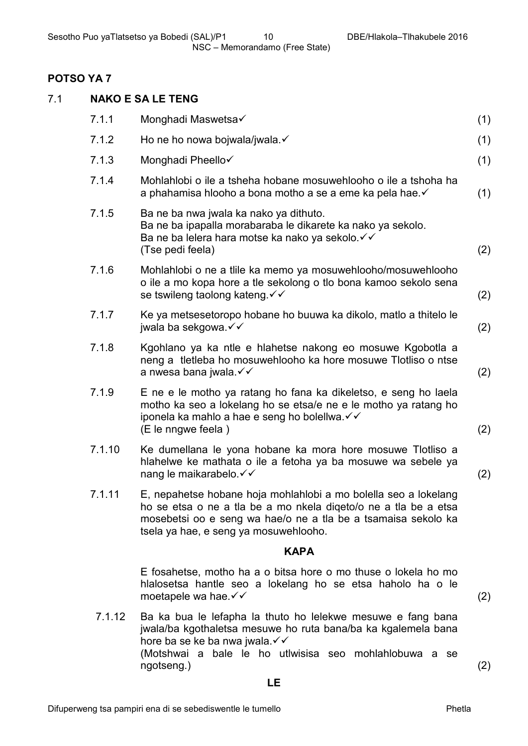## **POTSO YA 7**

| 7.1 | <b>NAKO E SA LE TENG</b> |                                                                                                                                                                                                                                              |     |  |
|-----|--------------------------|----------------------------------------------------------------------------------------------------------------------------------------------------------------------------------------------------------------------------------------------|-----|--|
|     | 7.1.1                    | Monghadi Maswetsa√                                                                                                                                                                                                                           | (1) |  |
|     | 7.1.2                    | Ho ne ho nowa bojwala/jwala.√                                                                                                                                                                                                                | (1) |  |
|     | 7.1.3                    | Monghadi Pheello√                                                                                                                                                                                                                            | (1) |  |
|     | 7.1.4                    | Mohlahlobi o ile a tsheha hobane mosuwehlooho o ile a tshoha ha<br>a phahamisa hlooho a bona motho a se a eme ka pela hae.√                                                                                                                  | (1) |  |
|     | 7.1.5                    | Ba ne ba nwa jwala ka nako ya dithuto.<br>Ba ne ba ipapalla morabaraba le dikarete ka nako ya sekolo.<br>Ba ne ba lelera hara motse ka nako ya sekolo. √ √<br>(Tse pedi feela)                                                               | (2) |  |
|     | 7.1.6                    | Mohlahlobi o ne a tille ka memo ya mosuwehlooho/mosuwehlooho<br>o ile a mo kopa hore a tle sekolong o tlo bona kamoo sekolo sena<br>se tswileng taolong kateng. V V                                                                          | (2) |  |
|     | 7.1.7                    | Ke ya metsesetoropo hobane ho buuwa ka dikolo, matlo a thitelo le<br>jwala ba sekgowa. √ ✓                                                                                                                                                   | (2) |  |
|     | 7.1.8                    | Kgohlano ya ka ntle e hlahetse nakong eo mosuwe Kgobotla a<br>neng a tletleba ho mosuwehlooho ka hore mosuwe Tlotliso o ntse<br>a nwesa bana jwala. √√                                                                                       | (2) |  |
|     | 7.1.9                    | E ne e le motho ya ratang ho fana ka dikeletso, e seng ho laela<br>motho ka seo a lokelang ho se etsa/e ne e le motho ya ratang ho<br>iponela ka mahlo a hae e seng ho bolellwa. V V<br>(E le nngwe feela)                                   | (2) |  |
|     | 7.1.10                   | Ke dumellana le yona hobane ka mora hore mosuwe Tlotliso a<br>hlahelwe ke mathata o ile a fetoha ya ba mosuwe wa sebele ya<br>nang le maikarabelo. √ ✓                                                                                       | (2) |  |
|     | 7.1.11                   | E, nepahetse hobane hoja mohlahlobi a mo bolella seo a lokelang<br>ho se etsa o ne a tla be a mo nkela digeto/o ne a tla be a etsa<br>mosebetsi oo e seng wa hae/o ne a tla be a tsamaisa sekolo ka<br>tsela ya hae, e seng ya mosuwehlooho. |     |  |
|     |                          | <b>KAPA</b>                                                                                                                                                                                                                                  |     |  |
|     |                          | E fosahetse, motho ha a o bitsa hore o mo thuse o lokela ho mo<br>hialosetsa hantle seo a lokelang ho se etsa haholo ha o le<br>moetapele wa hae. $\checkmark\checkmark$                                                                     | (2) |  |
|     | 7.1.12                   | Ba ka bua le lefapha la thuto ho lelekwe mesuwe e fang bana<br>jwala/ba kgothaletsa mesuwe ho ruta bana/ba ka kgalemela bana<br>hore ba se ke ba nwa jwala.√√                                                                                |     |  |

(Motshwai a bale le ho utlwisisa seo mohlahlobuwa a se ngotseng.) (2)